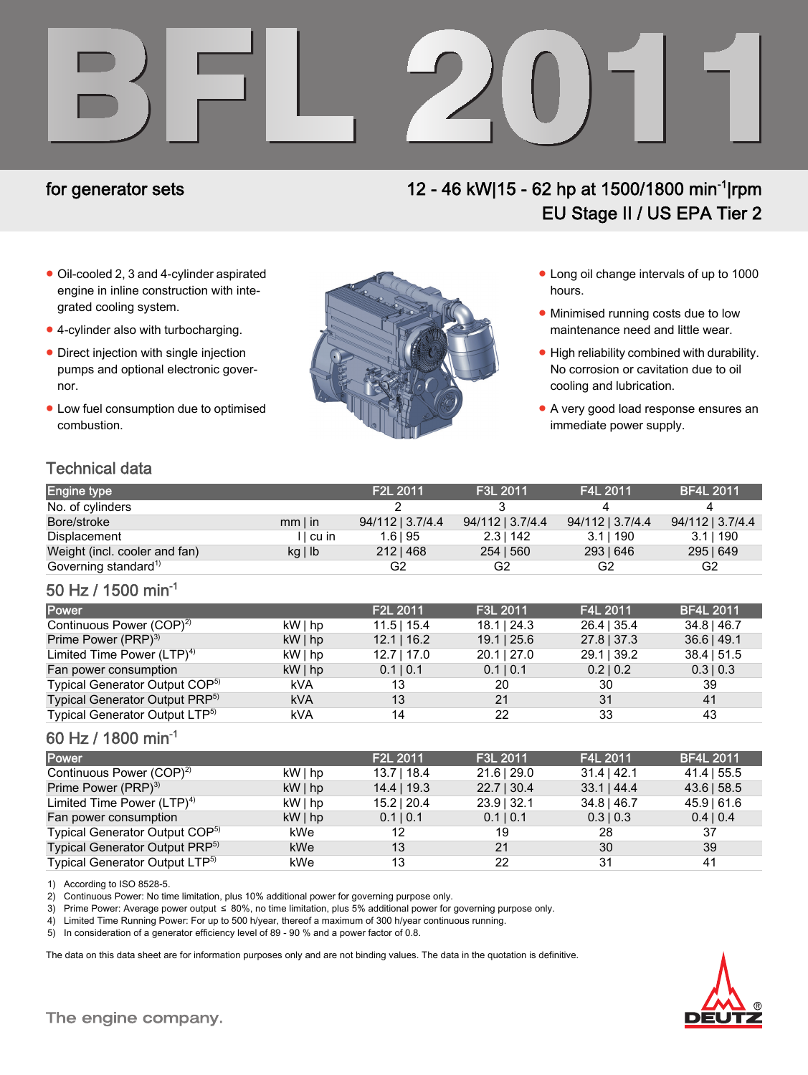

# for generator sets 12 - 46 kW|15 - 62 hp at 1500/1800 min-1|rpm EU Stage II / US EPA Tier 2

- Oil-cooled 2, 3 and 4-cylinder aspirated engine in inline construction with integrated cooling system.
- 4-cylinder also with turbocharging.
- Direct injection with single injection pumps and optional electronic governor.
- Low fuel consumption due to optimised combustion.



- Long oil change intervals of up to 1000 hours.
- Minimised running costs due to low maintenance need and little wear.
- High reliability combined with durability. No corrosion or cavitation due to oil cooling and lubrication.
- A very good load response ensures an immediate power supply.

# Technical data

| <b>Engine type</b>               |              | F <sub>2</sub> L 2011 | F3L 2011         | F4L 2011         | <b>BF4L 2011</b> |
|----------------------------------|--------------|-----------------------|------------------|------------------|------------------|
| No. of cylinders                 |              |                       |                  |                  |                  |
| Bore/stroke                      | $mm$   in    | 94/112   3.7/4.4      | 94/112   3.7/4.4 | 94/112   3.7/4.4 | 94/112   3.7/4.4 |
| Displacement                     | II cu in     | $1.6$   95            | $2.3$   142      | 3.11190          | 3.11190          |
| Weight (incl. cooler and fan)    | $kg \mid lb$ | $212 \mid 468$        | 254   560        | 293   646        | 295   649        |
| Governing standard <sup>1)</sup> |              | G2                    | G2               | G2               | G2               |

### 50 Hz / 1500 min-1

| <b>Power</b>                               |            | F <sub>2</sub> L 2011 | F3L 2011         | F4L 2011      | <b>BF4L 2011</b> |
|--------------------------------------------|------------|-----------------------|------------------|---------------|------------------|
| Continuous Power (COP) <sup>2)</sup>       | $kW $ hp   | $11.5$   15.4         | $18.1 \mid 24.3$ | $26.4$   35.4 | $34.8$   46.7    |
| Prime Power (PRP) <sup>3)</sup>            | $kW $ hp   | $12.1$   16.2         | $19.1$   25.6    | $27.8$   37.3 | $36.6$   49.1    |
| Limited Time Power $(LTP)^{4}$             | $kW $ hp   | $12.7$   17.0         | $20.1$   27.0    | $29.1$   39.2 | $38.4$   51.5    |
| Fan power consumption                      | $kW $ hp   | 0.1   0.1             | 0.1   0.1        | 0.2   0.2     | $0.3 \mid 0.3$   |
| Typical Generator Output COP <sup>5)</sup> | kVA        | 13                    | 20               | 30            | 39               |
| Typical Generator Output PRP <sup>5)</sup> | <b>kVA</b> | 13                    | 21               | 31            | 41               |
| Typical Generator Output LTP <sup>5)</sup> | kVA        | 14                    | 22               | 33            | 43               |

### 60 Hz / 1800 min-1

| <b>Power</b>                               |          | F2L 2011      | F3L 2011      | F4L 2011         | <b>BF4L 2011</b> |
|--------------------------------------------|----------|---------------|---------------|------------------|------------------|
| Continuous Power (COP) <sup>2)</sup>       | kW   hp  | $13.7$   18.4 | $21.6$   29.0 | $31.4$   42.1    | $41.4$   55.5    |
| Prime Power (PRP) <sup>3)</sup>            | $kW $ hp | $14.4$   19.3 | $22.7$   30.4 | $33.1 \mid 44.4$ | 43.6   58.5      |
| Limited Time Power $(LTP)^{4}$             | $kW $ hp | $15.2$   20.4 | $23.9$   32.1 | $34.8$   46.7    | $45.9$   61.6    |
| Fan power consumption                      | $kW $ hp | 0.1   0.1     | 0.1   0.1     | $0.3 \mid 0.3$   | 0.4   0.4        |
| Typical Generator Output COP <sup>5)</sup> | kWe      | 12            | 19            | 28               | 37               |
| Typical Generator Output PRP <sup>5)</sup> | kWe      | 13            | 21            | 30               | 39               |
| Typical Generator Output LTP <sup>5)</sup> | kWe      | 13            | 22            | 31               | 41               |

1) According to ISO 8528-5.

2) Continuous Power: No time limitation, plus 10% additional power for governing purpose only.

3) Prime Power: Average power output ≤ 80%, no time limitation, plus 5% additional power for governing purpose only.

4) Limited Time Running Power: For up to 500 h/year, thereof a maximum of 300 h/year continuous running.

5) In consideration of a generator efficiency level of 89 - 90 % and a power factor of 0.8.

The data on this data sheet are for information purposes only and are not binding values. The data in the quotation is definitive.